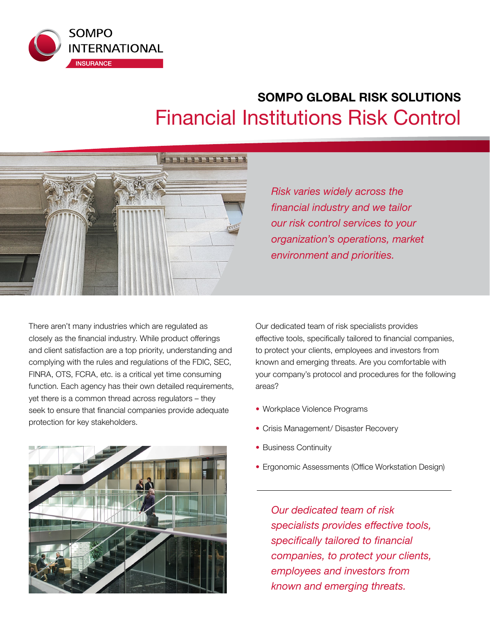

# **SOMPO GLOBAL RISK SOLUTIONS**  Financial Institutions Risk Control



*Risk varies widely across the financial industry and we tailor our risk control services to your organization's operations, market environment and priorities.*

There aren't many industries which are regulated as closely as the financial industry. While product offerings and client satisfaction are a top priority, understanding and complying with the rules and regulations of the FDIC, SEC, FINRA, OTS, FCRA, etc. is a critical yet time consuming function. Each agency has their own detailed requirements, yet there is a common thread across regulators – they seek to ensure that financial companies provide adequate protection for key stakeholders.



Our dedicated team of risk specialists provides effective tools, specifically tailored to financial companies, to protect your clients, employees and investors from known and emerging threats. Are you comfortable with your company's protocol and procedures for the following areas?

- Workplace Violence Programs
- Crisis Management/ Disaster Recovery
- Business Continuity
- Ergonomic Assessments (Office Workstation Design)

*Our dedicated team of risk specialists provides effective tools, specifically tailored to financial companies, to protect your clients, employees and investors from known and emerging threats.*